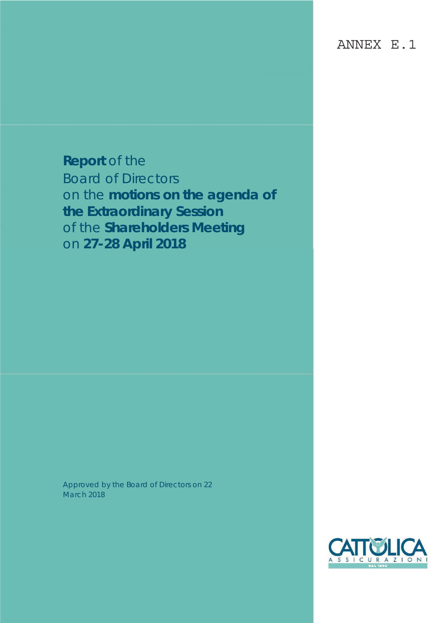ANNEX E.1

**Report** of the Board of Directors on the **motions on the agenda of the Extraordinary Session** of the **Shareholders Meeting** on **27-28 April 2018**

Approved by the Board of Directors on 22 March 2018

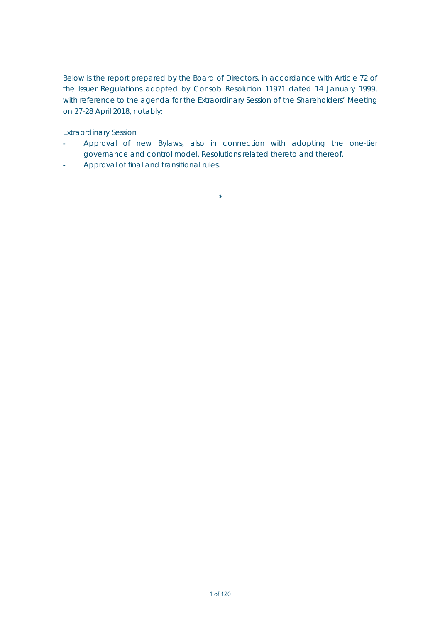Below is the report prepared by the Board of Directors, in accordance with Article 72 of the Issuer Regulations adopted by Consob Resolution 11971 dated 14 January 1999, with reference to the agenda for the Extraordinary Session of the Shareholders' Meeting on 27-28 April 2018, notably:

Extraordinary Session

 Approval of new Bylaws, also in connection with adopting the one-tier governance and control model. Resolutions related thereto and thereof.

 $\star$ 

Approval of final and transitional rules.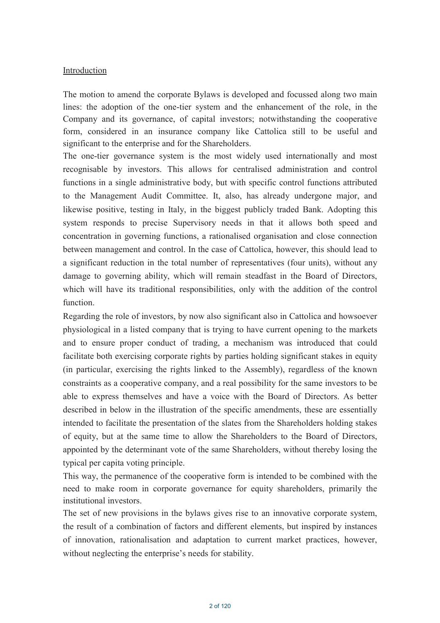### Introduction

The motion to amend the corporate Bylaws is developed and focussed along two main lines: the adoption of the one-tier system and the enhancement of the role, in the Company and its governance, of capital investors; notwithstanding the cooperative form, considered in an insurance company like Cattolica still to be useful and significant to the enterprise and for the Shareholders.

The one-tier governance system is the most widely used internationally and most recognisable by investors. This allows for centralised administration and control functions in a single administrative body, but with specific control functions attributed to the Management Audit Committee. It, also, has already undergone major, and likewise positive, testing in Italy, in the biggest publicly traded Bank. Adopting this system responds to precise Supervisory needs in that it allows both speed and concentration in governing functions, a rationalised organisation and close connection between management and control. In the case of Cattolica, however, this should lead to a significant reduction in the total number of representatives (four units), without any damage to governing ability, which will remain steadfast in the Board of Directors, which will have its traditional responsibilities, only with the addition of the control function.

Regarding the role of investors, by now also significant also in Cattolica and howsoever physiological in a listed company that is trying to have current opening to the markets and to ensure proper conduct of trading, a mechanism was introduced that could facilitate both exercising corporate rights by parties holding significant stakes in equity (in particular, exercising the rights linked to the Assembly), regardless of the known constraints as a cooperative company, and a real possibility for the same investors to be able to express themselves and have a voice with the Board of Directors. As better described in below in the illustration of the specific amendments, these are essentially intended to facilitate the presentation of the slates from the Shareholders holding stakes of equity, but at the same time to allow the Shareholders to the Board of Directors, appointed by the determinant vote of the same Shareholders, without thereby losing the typical per capita voting principle.

This way, the permanence of the cooperative form is intended to be combined with the need to make room in corporate governance for equity shareholders, primarily the institutional investors.

The set of new provisions in the bylaws gives rise to an innovative corporate system, the result of a combination of factors and different elements, but inspired by instances of innovation, rationalisation and adaptation to current market practices, however, without neglecting the enterprise's needs for stability.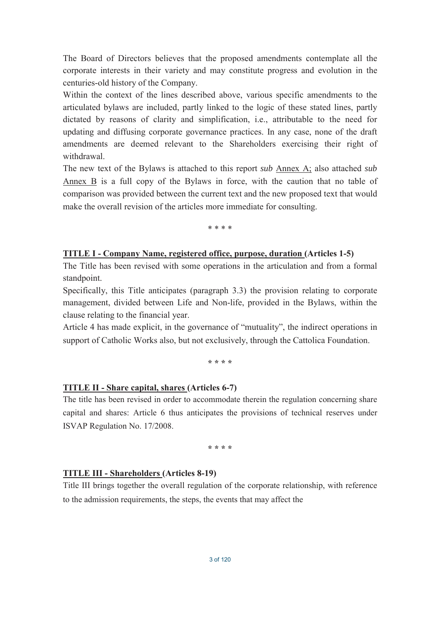The Board of Directors believes that the proposed amendments contemplate all the corporate interests in their variety and may constitute progress and evolution in the centuries-old history of the Company.

Within the context of the lines described above, various specific amendments to the articulated bylaws are included, partly linked to the logic of these stated lines, partly dictated by reasons of clarity and simplification, i.e., attributable to the need for updating and diffusing corporate governance practices. In any case, none of the draft amendments are deemed relevant to the Shareholders exercising their right of withdrawal.

The new text of the Bylaws is attached to this report sub Annex A; also attached sub Annex  $\overline{B}$  is a full copy of the Bylaws in force, with the caution that no table of comparison was provided between the current text and the new proposed text that would make the overall revision of the articles more immediate for consulting.

\* \* \* \*

#### **TITLE I - Company Name, registered office, purpose, duration (Articles 1-5)**

The Title has been revised with some operations in the articulation and from a formal standpoint.

Specifically, this Title anticipates (paragraph 3.3) the provision relating to corporate management, divided between Life and Non-life, provided in the Bylaws, within the clause relating to the financial year.

Article 4 has made explicit, in the governance of "mutuality", the indirect operations in support of Catholic Works also, but not exclusively, through the Cattolica Foundation.

\* \* \* \*

#### TITLE II - Share capital, shares (Articles 6-7)

The title has been revised in order to accommodate therein the regulation concerning share capital and shares: Article 6 thus anticipates the provisions of technical reserves under ISVAP Regulation No. 17/2008.

\* \* \* \*

#### **TITLE III - Shareholders (Articles 8-19)**

Title III brings together the overall regulation of the corporate relationship, with reference to the admission requirements, the steps, the events that may affect the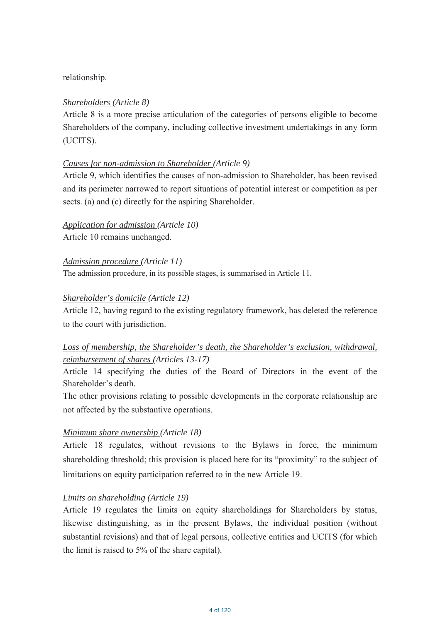## relationship.

## *Shareholders (Article 8)*

Article 8 is a more precise articulation of the categories of persons eligible to become Shareholders of the company, including collective investment undertakings in any form (UCITS).

## *Causes for non-admission to Shareholder (Article 9)*

Article 9, which identifies the causes of non-admission to Shareholder, has been revised and its perimeter narrowed to report situations of potential interest or competition as per sects. (a) and (c) directly for the aspiring Shareholder.

*Application for admission (Article 10)*  Article 10 remains unchanged.

*Admission procedure (Article 11)*  The admission procedure, in its possible stages, is summarised in Article 11.

# *Shareholder's domicile (Article 12)*

Article 12, having regard to the existing regulatory framework, has deleted the reference to the court with jurisdiction.

# *Loss of membership, the Shareholder's death, the Shareholder's exclusion, withdrawal, reimbursement of shares (Articles 13-17)*

Article 14 specifying the duties of the Board of Directors in the event of the Shareholder's death.

The other provisions relating to possible developments in the corporate relationship are not affected by the substantive operations.

## *Minimum share ownership (Article 18)*

Article 18 regulates, without revisions to the Bylaws in force, the minimum shareholding threshold; this provision is placed here for its "proximity" to the subject of limitations on equity participation referred to in the new Article 19.

## *Limits on shareholding (Article 19)*

Article 19 regulates the limits on equity shareholdings for Shareholders by status, likewise distinguishing, as in the present Bylaws, the individual position (without substantial revisions) and that of legal persons, collective entities and UCITS (for which the limit is raised to  $5\%$  of the share capital).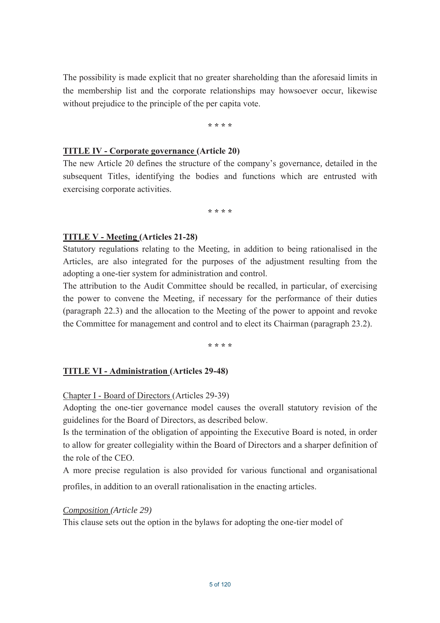The possibility is made explicit that no greater shareholding than the aforesaid limits in the membership list and the corporate relationships may howsoever occur, likewise without prejudice to the principle of the per capita vote.

\* \* \* \*

### **TITLE IV - Corporate governance (Article 20)**

The new Article 20 defines the structure of the company's governance, detailed in the subsequent Titles, identifying the bodies and functions which are entrusted with exercising corporate activities.

\* \* \* \*

## **TITLE V - Meeting (Articles 21-28)**

Statutory regulations relating to the Meeting, in addition to being rationalised in the Articles, are also integrated for the purposes of the adjustment resulting from the adopting a one-tier system for administration and control.

The attribution to the Audit Committee should be recalled, in particular, of exercising the power to convene the Meeting, if necessary for the performance of their duties (paragraph 22.3) and the allocation to the Meeting of the power to appoint and revoke the Committee for management and control and to elect its Chairman (paragraph 23.2).

\* \* \* \*

## **TITLE VI - Administration (Articles 29-48)**

Chapter I - Board of Directors (Articles 29-39)

Adopting the one-tier governance model causes the overall statutory revision of the guidelines for the Board of Directors, as described below.

Is the termination of the obligation of appointing the Executive Board is noted, in order to allow for greater collegiality within the Board of Directors and a sharper definition of the role of the CEO.

A more precise regulation is also provided for various functional and organisational profiles, in addition to an overall rationalisation in the enacting articles.

### Composition (Article 29)

This clause sets out the option in the bylaws for adopting the one-tier model of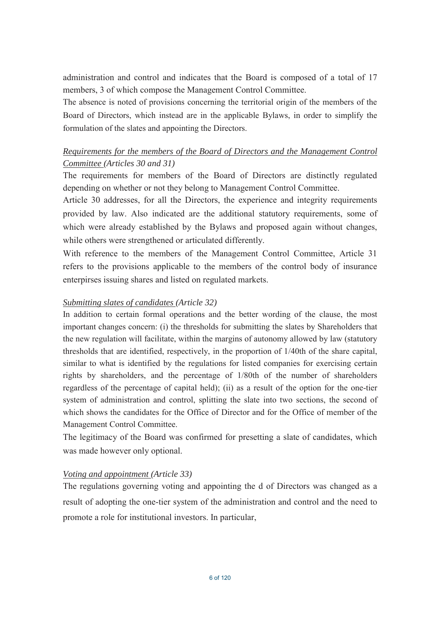administration and control and indicates that the Board is composed of a total of 17 members, 3 of which compose the Management Control Committee.

The absence is noted of provisions concerning the territorial origin of the members of the Board of Directors, which instead are in the applicable Bylaws, in order to simplify the formulation of the slates and appointing the Directors.

# Requirements for the members of the Board of Directors and the Management Control Committee (Articles 30 and 31)

The requirements for members of the Board of Directors are distinctly regulated depending on whether or not they belong to Management Control Committee.

Article 30 addresses, for all the Directors, the experience and integrity requirements provided by law. Also indicated are the additional statutory requirements, some of which were already established by the Bylaws and proposed again without changes, while others were strengthened or articulated differently.

With reference to the members of the Management Control Committee, Article 31 refers to the provisions applicable to the members of the control body of insurance enterpirses issuing shares and listed on regulated markets.

# Submitting slates of candidates (Article 32)

In addition to certain formal operations and the better wording of the clause, the most important changes concern: (i) the thresholds for submitting the slates by Shareholders that the new regulation will facilitate, within the margins of autonomy allowed by law (statutory thresholds that are identified, respectively, in the proportion of 1/40th of the share capital, similar to what is identified by the regulations for listed companies for exercising certain rights by shareholders, and the percentage of 1/80th of the number of shareholders regardless of the percentage of capital held); (ii) as a result of the option for the one-tier system of administration and control, splitting the slate into two sections, the second of which shows the candidates for the Office of Director and for the Office of member of the Management Control Committee.

The legitimacy of the Board was confirmed for presetting a slate of candidates, which was made however only optional.

## Voting and appointment (Article 33)

The regulations governing voting and appointing the d of Directors was changed as a result of adopting the one-tier system of the administration and control and the need to promote a role for institutional investors. In particular,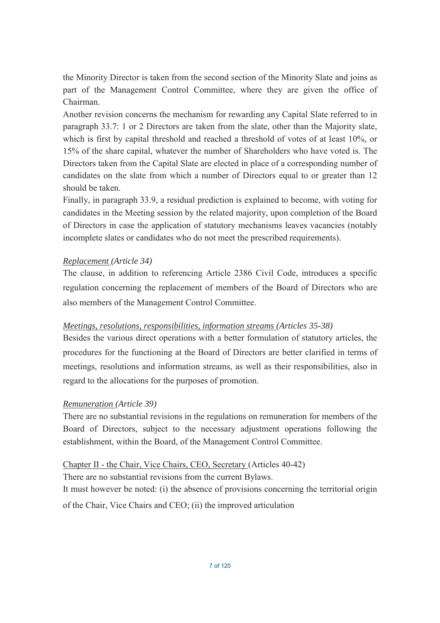the Minority Director is taken from the second section of the Minority Slate and joins as part of the Management Control Committee, where they are given the office of Chairman.

Another revision concerns the mechanism for rewarding any Capital Slate referred to in paragraph 33.7: 1 or 2 Directors are taken from the slate, other than the Majority slate. which is first by capital threshold and reached a threshold of votes of at least 10%, or 15% of the share capital, whatever the number of Shareholders who have voted is. The Directors taken from the Capital Slate are elected in place of a corresponding number of candidates on the slate from which a number of Directors equal to or greater than 12 should be taken.

Finally, in paragraph 33.9, a residual prediction is explained to become, with voting for candidates in the Meeting session by the related majority, upon completion of the Board of Directors in case the application of statutory mechanisms leaves vacancies (notably incomplete slates or candidates who do not meet the prescribed requirements).

## Replacement (Article 34)

The clause, in addition to referencing Article 2386 Civil Code, introduces a specific regulation concerning the replacement of members of the Board of Directors who are also members of the Management Control Committee.

## Meetings, resolutions, responsibilities, information streams (Articles 35-38)

Besides the various direct operations with a better formulation of statutory articles, the procedures for the functioning at the Board of Directors are better clarified in terms of meetings, resolutions and information streams, as well as their responsibilities, also in regard to the allocations for the purposes of promotion.

## **Remuneration (Article 39)**

There are no substantial revisions in the regulations on remuneration for members of the Board of Directors, subject to the necessary adjustment operations following the establishment, within the Board, of the Management Control Committee.

# Chapter II - the Chair, Vice Chairs, CEO, Secretary (Articles 40-42)

There are no substantial revisions from the current Bylaws.

It must however be noted: (i) the absence of provisions concerning the territorial origin of the Chair, Vice Chairs and CEO; (ii) the improved articulation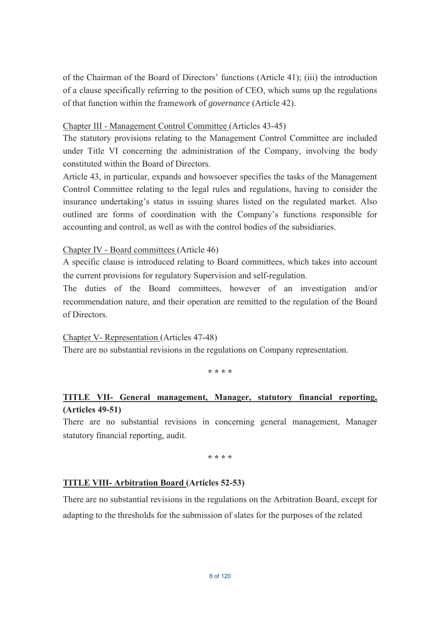of the Chairman of the Board of Directors' functions (Article 41); (iii) the introduction of a clause specifically referring to the position of CEO, which sums up the regulations of that function within the framework of governance (Article 42).

### Chapter III - Management Control Committee (Articles 43-45)

The statutory provisions relating to the Management Control Committee are included under Title VI concerning the administration of the Company, involving the body constituted within the Board of Directors.

Article 43, in particular, expands and howsoever specifies the tasks of the Management Control Committee relating to the legal rules and regulations, having to consider the insurance undertaking's status in issuing shares listed on the regulated market. Also outlined are forms of coordination with the Company's functions responsible for accounting and control, as well as with the control bodies of the subsidiaries.

Chapter IV - Board committees (Article 46)

A specific clause is introduced relating to Board committees, which takes into account the current provisions for regulatory Supervision and self-regulation.

The duties of the Board committees, however of an investigation and/or recommendation nature, and their operation are remitted to the regulation of the Board of Directors.

Chapter V- Representation (Articles 47-48)

There are no substantial revisions in the regulations on Company representation.

لله لله لله لله

# TITLE VII- General management, Manager, statutory financial reporting,  $(Articles 49-51)$

There are no substantial revisions in concerning general management, Manager statutory financial reporting, audit.

\* \* \* \*

## **TITLE VIII- Arbitration Board (Articles 52-53)**

There are no substantial revisions in the regulations on the Arbitration Board, except for adapting to the thresholds for the submission of slates for the purposes of the related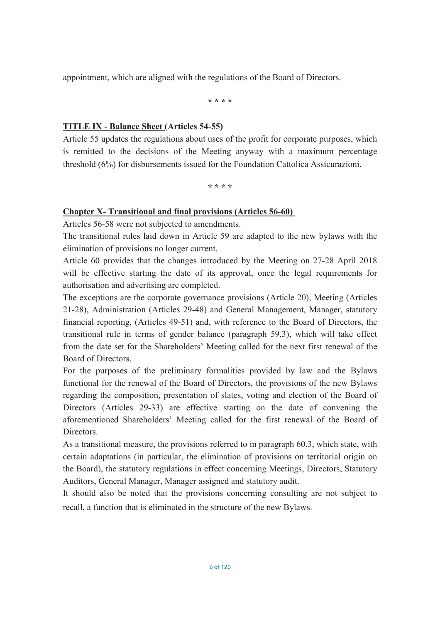appointment, which are aligned with the regulations of the Board of Directors.

\* \* \* \*

### **TITLE IX - Balance Sheet (Articles 54-55)**

Article 55 updates the regulations about uses of the profit for corporate purposes, which is remitted to the decisions of the Meeting anyway with a maximum percentage threshold (6%) for disbursements issued for the Foundation Cattolica Assicurazioni.

\* \* \* \*

## **Chapter X- Transitional and final provisions (Articles 56-60)**

Articles 56-58 were not subjected to amendments.

The transitional rules laid down in Article 59 are adapted to the new bylaws with the elimination of provisions no longer current.

Article 60 provides that the changes introduced by the Meeting on 27-28 April 2018 will be effective starting the date of its approval, once the legal requirements for authorisation and advertising are completed.

The exceptions are the corporate governance provisions (Article 20), Meeting (Articles 21-28), Administration (Articles 29-48) and General Management, Manager, statutory financial reporting, (Articles 49-51) and, with reference to the Board of Directors, the transitional rule in terms of gender balance (paragraph 59.3), which will take effect from the date set for the Shareholders' Meeting called for the next first renewal of the Board of Directors.

For the purposes of the preliminary formalities provided by law and the Bylaws functional for the renewal of the Board of Directors, the provisions of the new Bylaws regarding the composition, presentation of slates, voting and election of the Board of Directors (Articles 29-33) are effective starting on the date of convening the aforementioned Shareholders' Meeting called for the first renewal of the Board of Directors.

As a transitional measure, the provisions referred to in paragraph 60.3, which state, with certain adaptations (in particular, the elimination of provisions on territorial origin on the Board), the statutory regulations in effect concerning Meetings, Directors, Statutory Auditors, General Manager, Manager assigned and statutory audit.

It should also be noted that the provisions concerning consulting are not subject to recall, a function that is eliminated in the structure of the new Bylaws.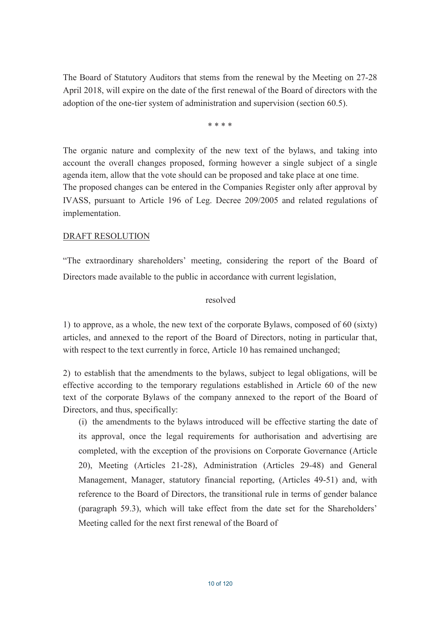The Board of Statutory Auditors that stems from the renewal by the Meeting on 27-28 April 2018, will expire on the date of the first renewal of the Board of directors with the adoption of the one-tier system of administration and supervision (section 60.5).

ر<br>مان مان مان مان

The organic nature and complexity of the new text of the bylaws, and taking into account the overall changes proposed, forming however a single subject of a single agenda item, allow that the vote should can be proposed and take place at one time. The proposed changes can be entered in the Companies Register only after approval by IVASS, pursuant to Article 196 of Leg. Decree 209/2005 and related regulations of implementation.

## **DRAFT RESOLUTION**

"The extraordinary shareholders' meeting, considering the report of the Board of Directors made available to the public in accordance with current legislation,

### resolved

1) to approve, as a whole, the new text of the corporate Bylaws, composed of 60 (sixty) articles, and annexed to the report of the Board of Directors, noting in particular that, with respect to the text currently in force, Article 10 has remained unchanged;

2) to establish that the amendments to the bylaws, subject to legal obligations, will be effective according to the temporary regulations established in Article 60 of the new text of the corporate Bylaws of the company annexed to the report of the Board of Directors, and thus, specifically:

(i) the amendments to the bylaws introduced will be effective starting the date of its approval, once the legal requirements for authorisation and advertising are completed, with the exception of the provisions on Corporate Governance (Article 20), Meeting (Articles 21-28), Administration (Articles 29-48) and General Management, Manager, statutory financial reporting, (Articles 49-51) and, with reference to the Board of Directors, the transitional rule in terms of gender balance (paragraph 59.3), which will take effect from the date set for the Shareholders' Meeting called for the next first renewal of the Board of